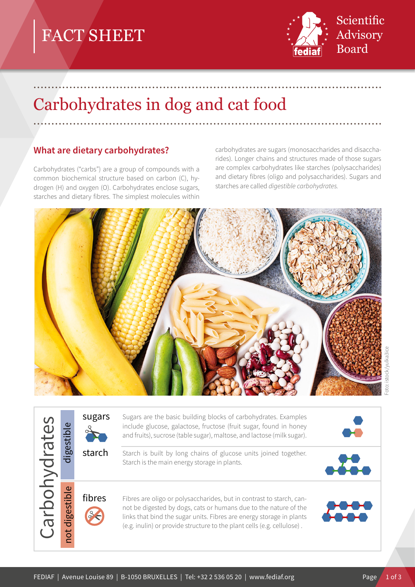# FACT SHEET



# Carbohydrates in dog and cat food

## **What are dietary carbohydrates?**

Carbohydrates ("carbs") are a group of compounds with a common biochemical structure based on carbon (C), hydrogen (H) and oxygen (O). Carbohydrates enclose sugars, starches and dietary fibres. The simplest molecules within carbohydrates are sugars (monosaccharides and disaccharides). Longer chains and structures made of those sugars are complex carbohydrates like starches (polysaccharides) and dietary fibres (oligo and polysaccharides). Sugars and starches are called *digestible carbohydrates.* 



.................................................................................................

.................................................................................................

| rates<br>rb<br>$\overline{c}$ | Φ<br>igestil                                          | sugars | Sugars are the basic building blocks of carbohydrates. Examples<br>include glucose, galactose, fructose (fruit sugar, found in honey<br>and fruits), sucrose (table sugar), maltose, and lactose (milk sugar).                                                                              |  |
|-------------------------------|-------------------------------------------------------|--------|---------------------------------------------------------------------------------------------------------------------------------------------------------------------------------------------------------------------------------------------------------------------------------------------|--|
|                               |                                                       | starch | Starch is built by long chains of glucose units joined together.<br>Starch is the main energy storage in plants.                                                                                                                                                                            |  |
|                               | $\overline{\mathbf{C}}$<br>$\cdot$ $-$<br>igesti<br>ਠ | fibres | Fibres are oligo or polysaccharides, but in contrast to starch, can-<br>not be digested by dogs, cats or humans due to the nature of the<br>links that bind the sugar units. Fibres are energy storage in plants<br>(e.g. inulin) or provide structure to the plant cells (e.g. cellulose). |  |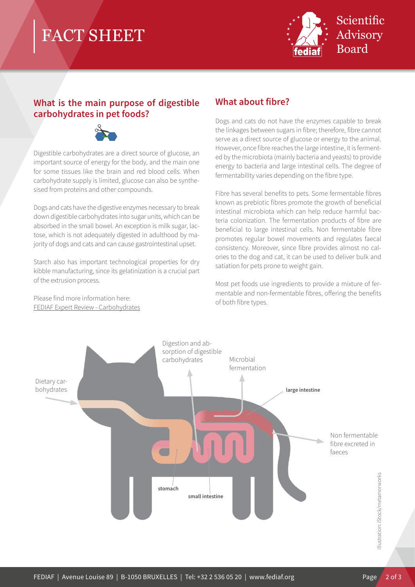## FACT SHEET



### **What is the main purpose of digestible carbohydrates in pet foods?**



Digestible carbohydrates are a direct source of glucose, an important source of energy for the body, and the main one for some tissues like the brain and red blood cells. When carbohydrate supply is limited, glucose can also be synthesised from proteins and other compounds.

Dogs and cats have the digestive enzymes necessary to break down digestible carbohydrates into sugar units, which can be absorbed in the small bowel. An exception is milk sugar, lactose, which is not adequately digested in adulthood by majority of dogs and cats and can cause gastrointestinal upset.

Starch also has important technological properties for dry kibble manufacturing, since its gelatinization is a crucial part of the extrusion process.

Please find more information here: [FEDIAF Expert Review - Carbohydrates](http://www.fediaf.org/self-regulation/nutrition.html)

## **What about fibre?**

Dogs and cats do not have the enzymes capable to break the linkages between sugars in fibre; therefore, fibre cannot serve as a direct source of glucose or energy to the animal. However, once fibre reaches the large intestine, it is fermented by the microbiota (mainly bacteria and yeasts) to provide energy to bacteria and large intestinal cells. The degree of fermentability varies depending on the fibre type.

Fibre has several benefits to pets. Some fermentable fibres known as prebiotic fibres promote the growth of beneficial intestinal microbiota which can help reduce harmful bacteria colonization. The fermentation products of fibre are beneficial to large intestinal cells. Non fermentable fibre promotes regular bowel movements and regulates faecal consistency. Moreover, since fibre provides almost no calories to the dog and cat, it can be used to deliver bulk and satiation for pets prone to weight gain.

Most pet foods use ingredients to provide a mixture of fermentable and non-fermentable fibres, offering the benefits of both fibre types.